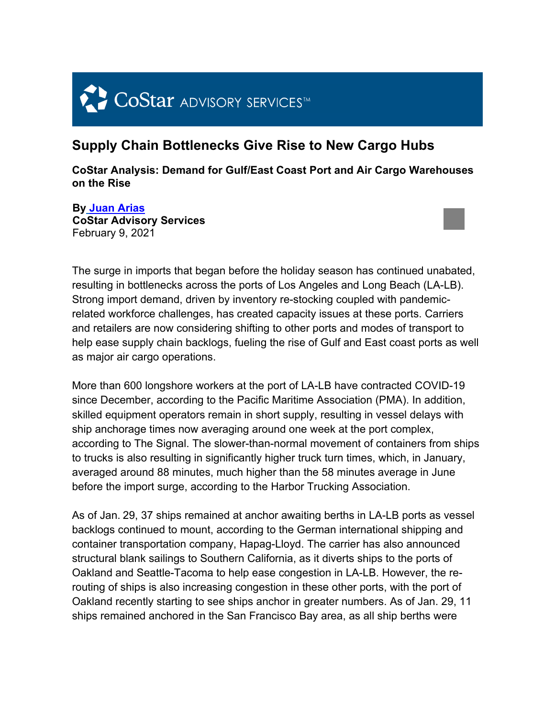# CoStar ADVISORY SERVICES<sup>TM</sup>

#### **Supply Chain Bottlenecks Give Rise to New Cargo Hubs**

**CoStar Analysis: Demand for Gulf/East Coast Port and Air Cargo Warehouses on the Rise**

**By Juan Arias CoStar Advisory Services**  February 9, 2021



The surge in imports that began before the holiday season has continued unabated, resulting in bottlenecks across the ports of Los Angeles and Long Beach (LA-LB). Strong import demand, driven by inventory re-stocking coupled with pandemicrelated workforce challenges, has created capacity issues at these ports. Carriers and retailers are now considering shifting to other ports and modes of transport to help ease supply chain backlogs, fueling the rise of Gulf and East coast ports as well as major air cargo operations.

More than 600 longshore workers at the port of LA-LB have contracted COVID-19 since December, according to the Pacific Maritime Association (PMA). In addition, skilled equipment operators remain in short supply, resulting in vessel delays with ship anchorage times now averaging around one week at the port complex, according to The Signal. The slower-than-normal movement of containers from ships to trucks is also resulting in significantly higher truck turn times, which, in January, averaged around 88 minutes, much higher than the 58 minutes average in June before the import surge, according to the Harbor Trucking Association.

As of Jan. 29, 37 ships remained at anchor awaiting berths in LA-LB ports as vessel backlogs continued to mount, according to the German international shipping and container transportation company, Hapag-Lloyd. The carrier has also announced structural blank sailings to Southern California, as it diverts ships to the ports of Oakland and Seattle-Tacoma to help ease congestion in LA-LB. However, the rerouting of ships is also increasing congestion in these other ports, with the port of Oakland recently starting to see ships anchor in greater numbers. As of Jan. 29, 11 ships remained anchored in the San Francisco Bay area, as all ship berths were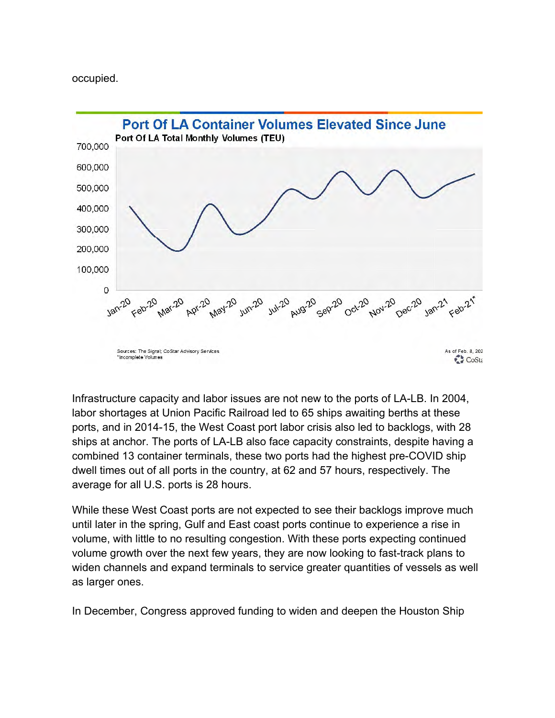occupied.



Infrastructure capacity and labor issues are not new to the ports of LA-LB. In 2004, labor shortages at Union Pacific Railroad led to 65 ships awaiting berths at these ports, and in 2014-15, the West Coast port labor crisis also led to backlogs, with 28 ships at anchor. The ports of LA-LB also face capacity constraints, despite having a combined 13 container terminals, these two ports had the highest pre-COVID ship dwell times out of all ports in the country, at 62 and 57 hours, respectively. The average for all U.S. ports is 28 hours.

While these West Coast ports are not expected to see their backlogs improve much until later in the spring, Gulf and East coast ports continue to experience a rise in volume, with little to no resulting congestion. With these ports expecting continued volume growth over the next few years, they are now looking to fast-track plans to widen channels and expand terminals to service greater quantities of vessels as well as larger ones.

In December, Congress approved funding to widen and deepen the Houston Ship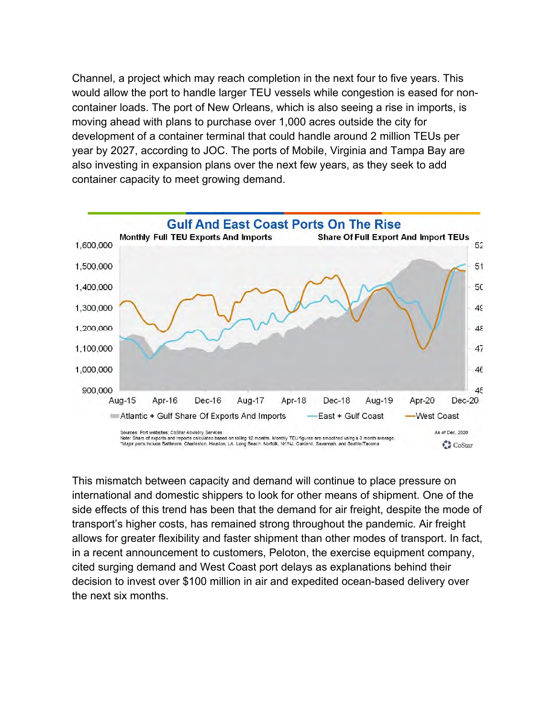Channel, a project which may reach completion in the next four to five years. This would allow the port to handle larger TEU vessels while congestion is eased for noncontainer loads. The port of New Orleans, which is also seeing a rise in imports, is moving ahead with plans to purchase over 1,000 acres outside the city for development of a container terminal that could handle around 2 million TEUs per year by 2027, according to JOC. The ports of Mobile, Virginia and Tampa Bay are also investing in expansion plans over the next few years, as they seek to add container capacity to meet growing demand.



This mismatch between capacity and demand will continue to place pressure on international and domestic shippers to look for other means of shipment. One of the side effects of this trend has been that the demand for air freight, despite the mode of transport's higher costs, has remained strong throughout the pandemic. Air freight allows for greater flexibility and faster shipment than other modes of transport. In fact, in a recent announcement to customers, Peloton, the exercise equipment company, cited surging demand and West Coast port delays as explanations behind their decision to invest over \$100 million in air and expedited ocean-based delivery over the next six months.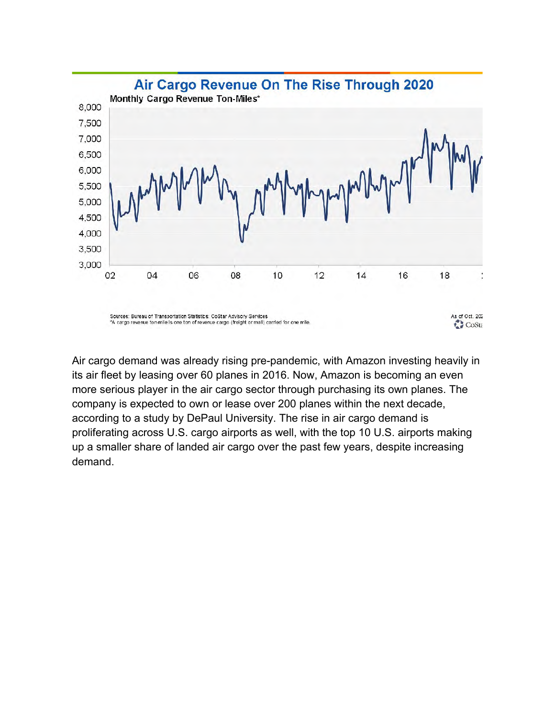

Air cargo demand was already rising pre-pandemic, with Amazon investing heavily in its air fleet by leasing over 60 planes in 2016. Now, Amazon is becoming an even more serious player in the air cargo sector through purchasing its own planes. The company is expected to own or lease over 200 planes within the next decade, according to a study by DePaul University. The rise in air cargo demand is proliferating across U.S. cargo airports as well, with the top 10 U.S. airports making up a smaller share of landed air cargo over the past few years, despite increasing demand.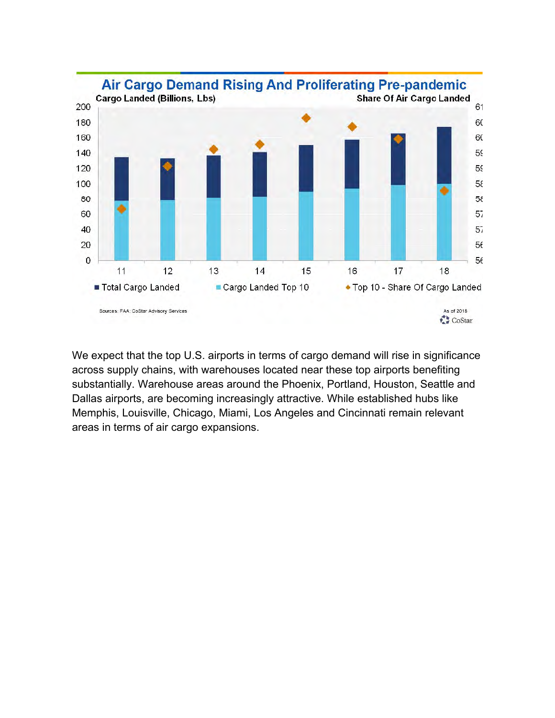

We expect that the top U.S. airports in terms of cargo demand will rise in significance across supply chains, with warehouses located near these top airports benefiting substantially. Warehouse areas around the Phoenix, Portland, Houston, Seattle and Dallas airports, are becoming increasingly attractive. While established hubs like Memphis, Louisville, Chicago, Miami, Los Angeles and Cincinnati remain relevant areas in terms of air cargo expansions.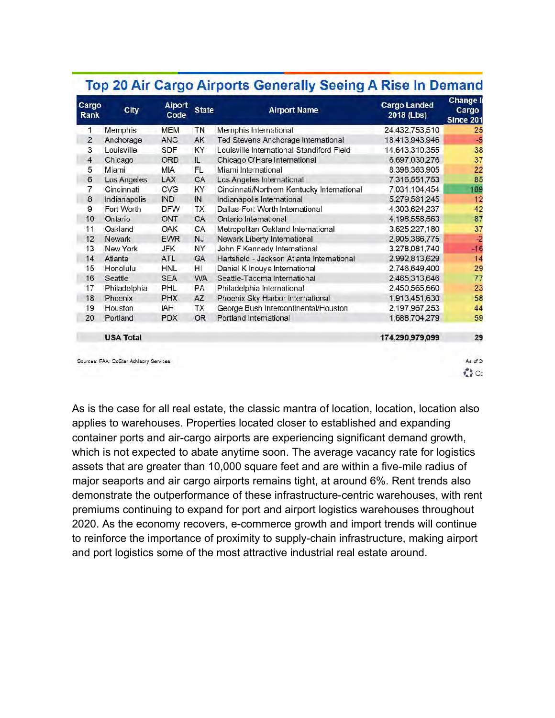| Cargo<br>Rank | City                                   | <b>Aiport</b><br>Code | <b>State</b> | <b>Airport Name</b>                        | <b>Cargo Landed</b><br>2018 (Lbs) | <b>Change In</b><br>Cargo<br>Since 201 |
|---------------|----------------------------------------|-----------------------|--------------|--------------------------------------------|-----------------------------------|----------------------------------------|
| 1             | Memphis                                | <b>MEM</b>            | TN           | Memphis International                      | 24,432,753,510                    | 25                                     |
| $\mathbf{2}$  | Anchorage                              | <b>ANC</b>            | AK           | Ted Stevens Anchorage International        | 18,413,943,946                    | .5                                     |
| 3             | Louisville                             | SDF                   | KY           | Louisville International-Standiford Field  | 14,643,310,355                    | 38                                     |
| 4             | Chicago                                | ORD                   | IL.          | Chicago O'Hare International               | 6,697,030,276                     | 37                                     |
| 5             | Miami                                  | <b>MIA</b>            | FL.          | Miami International                        | 8,398,363,905                     | 22                                     |
| 6             | Los Angeles                            | LAX                   | CA           | Los Angeles International                  | 7,316,551,753                     | 85                                     |
| 7             | Cincinnati                             | CVG                   | KY           | Cincinnati/Northern Kentucky International | 7.031.104.454                     | 189                                    |
| 8             | Indianapolis                           | <b>IND</b>            | IN           | Indianapolis International                 | 5,279,561,245                     | 12                                     |
| 9             | Fort Worth                             | <b>DFW</b>            | TX           | Dallas-Fort Worth International            | 4,303,624,237                     | 42                                     |
| 10            | Ontario                                | ONT                   | CA           | Ontario International                      | 4,198,558,563                     | 87                                     |
| 11            | Oakland                                | <b>OAK</b>            | CA           | Metropolitan Oakland International         | 3,625,227,180                     | 37                                     |
| 12            | <b>Newark</b>                          | <b>EWR</b>            | NJ           | Newark Liberty International               | 2,905,386,775                     | $\overline{2}$                         |
| 13            | New York                               | JFK                   | NY           | John F Kennedy International               | 3,278,081,740                     | $-16$                                  |
| 14            | Atlanta                                | <b>ATL</b>            | <b>GA</b>    | Hartsfield - Jackson Atlanta International | 2,992,813,629                     | 14                                     |
| 15            | Honolulu                               | <b>HNL</b>            | HI           | Daniel K Inouye International              | 2,746,649,400                     | 29                                     |
| 16            | Seattle                                | SEA                   | <b>WA</b>    | Seattle-Tacoma International               | 2.465.313.646                     | 77                                     |
| 17            | Philadelphia                           | PHL                   | PA           | Philadelphia International                 | 2,450,565,660                     | 23                                     |
| 18            | Phoenix                                | <b>PHX</b>            | AZ.          | Phoenix Sky Harbor International           | 1,913,451,630                     | 58                                     |
| 19            | Houston.                               | <b>IAH</b>            | TX           | George Bush Intercontinental/Houston       | 2,197,967,253                     | 44                                     |
| 20            | Portland                               | <b>PDX</b>            | OR.          | Portland International                     | 1,688,704,279                     | 59                                     |
|               | <b>USA Total</b>                       |                       |              |                                            | 174,290,979,099                   | 29                                     |
|               | Sources: FAA: CoStar Advisory Services |                       |              |                                            |                                   | As of 2<br>2 <sup>o</sup>              |

As is the case for all real estate, the classic mantra of location, location, location also applies to warehouses. Properties located closer to established and expanding container ports and air-cargo airports are experiencing significant demand growth, which is not expected to abate anytime soon. The average vacancy rate for logistics assets that are greater than 10,000 square feet and are within a five-mile radius of major seaports and air cargo airports remains tight, at around 6%. Rent trends also demonstrate the outperformance of these infrastructure-centric warehouses, with rent premiums continuing to expand for port and airport logistics warehouses throughout 2020. As the economy recovers, e-commerce growth and import trends will continue to reinforce the importance of proximity to supply-chain infrastructure, making airport and port logistics some of the most attractive industrial real estate around.

### Ton 20 Air Cargo Airports Generally Seeing A Rise In Demand